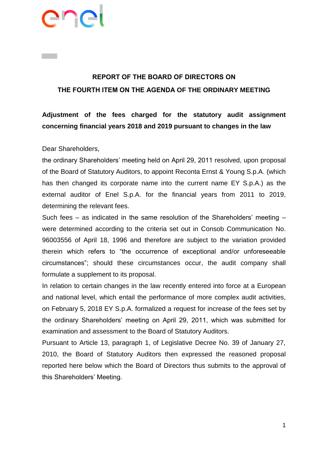# ener

# **REPORT OF THE BOARD OF DIRECTORS ON THE FOURTH ITEM ON THE AGENDA OF THE ORDINARY MEETING**

**Adjustment of the fees charged for the statutory audit assignment concerning financial years 2018 and 2019 pursuant to changes in the law**

Dear Shareholders,

the ordinary Shareholders' meeting held on April 29, 2011 resolved, upon proposal of the Board of Statutory Auditors, to appoint Reconta Ernst & Young S.p.A. (which has then changed its corporate name into the current name EY S.p.A.) as the external auditor of Enel S.p.A. for the financial years from 2011 to 2019, determining the relevant fees.

Such fees – as indicated in the same resolution of the Shareholders' meeting – were determined according to the criteria set out in Consob Communication No. 96003556 of April 18, 1996 and therefore are subject to the variation provided therein which refers to "the occurrence of exceptional and/or unforeseeable circumstances"; should these circumstances occur, the audit company shall formulate a supplement to its proposal.

In relation to certain changes in the law recently entered into force at a European and national level, which entail the performance of more complex audit activities, on February 5, 2018 EY S.p.A. formalized a request for increase of the fees set by the ordinary Shareholders' meeting on April 29, 2011, which was submitted for examination and assessment to the Board of Statutory Auditors.

Pursuant to Article 13, paragraph 1, of Legislative Decree No. 39 of January 27, 2010, the Board of Statutory Auditors then expressed the reasoned proposal reported here below which the Board of Directors thus submits to the approval of this Shareholders' Meeting.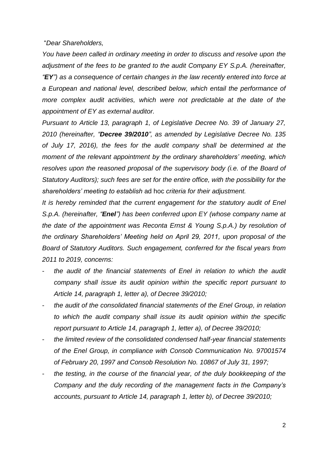### "*Dear Shareholders,*

*You have been called in ordinary meeting in order to discuss and resolve upon the adjustment of the fees to be granted to the audit Company EY S.p.A. (hereinafter, "EY") as a consequence of certain changes in the law recently entered into force at a European and national level, described below, which entail the performance of more complex audit activities, which were not predictable at the date of the appointment of EY as external auditor.* 

*Pursuant to Article 13, paragraph 1, of Legislative Decree No. 39 of January 27, 2010 (hereinafter, "Decree 39/2010", as amended by Legislative Decree No. 135 of July 17, 2016), the fees for the audit company shall be determined at the moment of the relevant appointment by the ordinary shareholders' meeting, which resolves upon the reasoned proposal of the supervisory body (i.e. of the Board of Statutory Auditors); such fees are set for the entire office, with the possibility for the shareholders' meeting to establish* ad hoc *criteria for their adjustment.* 

*It is hereby reminded that the current engagement for the statutory audit of Enel S.p.A. (hereinafter, "Enel") has been conferred upon EY (whose company name at the date of the appointment was Reconta Ernst & Young S.p.A.) by resolution of the ordinary Shareholders' Meeting held on April 29, 2011, upon proposal of the Board of Statutory Auditors. Such engagement, conferred for the fiscal years from 2011 to 2019, concerns:* 

- the audit of the financial statements of Enel in relation to which the audit *company shall issue its audit opinion within the specific report pursuant to Article 14, paragraph 1, letter a), of Decree 39/2010;*
- *the audit of the consolidated financial statements of the Enel Group, in relation to which the audit company shall issue its audit opinion within the specific report pursuant to Article 14, paragraph 1, letter a), of Decree 39/2010;*
- *the limited review of the consolidated condensed half-year financial statements of the Enel Group, in compliance with Consob Communication No. 97001574 of February 20, 1997 and Consob Resolution No. 10867 of July 31, 1997;*
- *the testing, in the course of the financial year, of the duly bookkeeping of the Company and the duly recording of the management facts in the Company's accounts, pursuant to Article 14, paragraph 1, letter b), of Decree 39/2010;*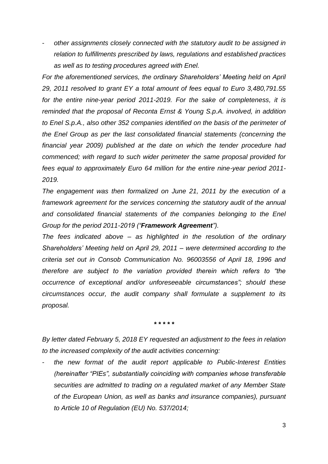- *other assignments closely connected with the statutory audit to be assigned in relation to fulfillments prescribed by laws, regulations and established practices as well as to testing procedures agreed with Enel.*

*For the aforementioned services, the ordinary Shareholders' Meeting held on April 29, 2011 resolved to grant EY a total amount of fees equal to Euro 3,480,791.55 for the entire nine-year period 2011-2019. For the sake of completeness, it is reminded that the proposal of Reconta Ernst & Young S.p.A. involved, in addition to Enel S.p.A., also other 352 companies identified on the basis of the perimeter of the Enel Group as per the last consolidated financial statements (concerning the financial year 2009) published at the date on which the tender procedure had commenced; with regard to such wider perimeter the same proposal provided for fees equal to approximately Euro 64 million for the entire nine-year period 2011- 2019.*

*The engagement was then formalized on June 21, 2011 by the execution of a framework agreement for the services concerning the statutory audit of the annual and consolidated financial statements of the companies belonging to the Enel Group for the period 2011-2019 ("Framework Agreement").*

*The fees indicated above – as highlighted in the resolution of the ordinary Shareholders' Meeting held on April 29, 2011 – were determined according to the criteria set out in Consob Communication No. 96003556 of April 18, 1996 and therefore are subject to the variation provided therein which refers to "the occurrence of exceptional and/or unforeseeable circumstances"; should these circumstances occur, the audit company shall formulate a supplement to its proposal.*

*\* \* \* \* \**

*By letter dated February 5, 2018 EY requested an adjustment to the fees in relation to the increased complexity of the audit activities concerning:* 

- *the new format of the audit report applicable to Public-Interest Entities (hereinafter "PIEs", substantially coinciding with companies whose transferable securities are admitted to trading on a regulated market of any Member State of the European Union, as well as banks and insurance companies), pursuant to Article 10 of Regulation (EU) No. 537/2014;*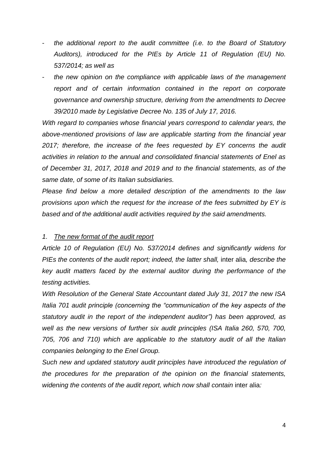- *the additional report to the audit committee (i.e. to the Board of Statutory Auditors), introduced for the PIEs by Article 11 of Regulation (EU) No. 537/2014; as well as*
- *the new opinion on the compliance with applicable laws of the management report and of certain information contained in the report on corporate governance and ownership structure, deriving from the amendments to Decree 39/2010 made by Legislative Decree No. 135 of July 17, 2016.*

*With regard to companies whose financial years correspond to calendar years, the above-mentioned provisions of law are applicable starting from the financial year 2017; therefore, the increase of the fees requested by EY concerns the audit activities in relation to the annual and consolidated financial statements of Enel as of December 31, 2017, 2018 and 2019 and to the financial statements, as of the same date, of some of its Italian subsidiaries.* 

*Please find below a more detailed description of the amendments to the law provisions upon which the request for the increase of the fees submitted by EY is based and of the additional audit activities required by the said amendments.* 

# *1. The new format of the audit report*

*Article 10 of Regulation (EU) No. 537/2014 defines and significantly widens for PIEs the contents of the audit report; indeed, the latter shall,* inter alia*, describe the key audit matters faced by the external auditor during the performance of the testing activities.*

*With Resolution of the General State Accountant dated July 31, 2017 the new ISA Italia 701 audit principle (concerning the "communication of the key aspects of the statutory audit in the report of the independent auditor") has been approved, as well as the new versions of further six audit principles (ISA Italia 260, 570, 700, 705, 706 and 710) which are applicable to the statutory audit of all the Italian companies belonging to the Enel Group.* 

*Such new and updated statutory audit principles have introduced the regulation of the procedures for the preparation of the opinion on the financial statements, widening the contents of the audit report, which now shall contain* inter alia*:*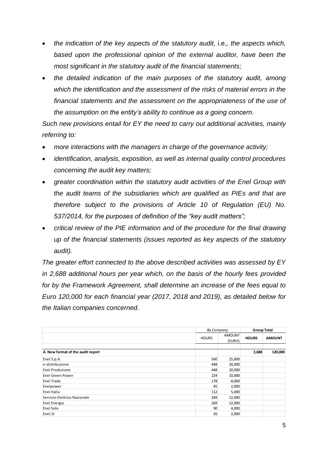- *the indication of the key aspects of the statutory audit,* i.e.*, the aspects which, based upon the professional opinion of the external auditor, have been the most significant in the statutory audit of the financial statements;*
- *the detailed indication of the main purposes of the statutory audit, among which the identification and the assessment of the risks of material errors in the financial statements and the assessment on the appropriateness of the use of the assumption on the entity's ability to continue as a going concern.*

*Such new provisions entail for EY the need to carry out additional activities, mainly referring to:* 

- *more interactions with the managers in charge of the governance activity;*
- *identification, analysis, exposition, as well as internal quality control procedures concerning the audit key matters;*
- *greater coordination within the statutory audit activities of the Enel Group with the audit teams of the subsidiaries which are qualified as PIEs and that are therefore subject to the provisions of Article 10 of Regulation (EU) No. 537/2014, for the purposes of definition of the "key audit matters";*
- *critical review of the PIE information and of the procedure for the final drawing up of the financial statements (issues reported as key aspects of the statutory audit).*

*The greater effort connected to the above described activities was assessed by EY in 2,688 additional hours per year which, on the basis of the hourly fees provided for by the Framework Agreement, shall determine an increase of the fees equal to Euro 120,000 for each financial year (2017, 2018 and 2019), as detailed below for the Italian companies concerned.*

|                                   | By Company   |                  | <b>Group Total</b> |               |
|-----------------------------------|--------------|------------------|--------------------|---------------|
|                                   | <b>HOURS</b> | AMOUNT<br>(EURO) | <b>HOURS</b>       | <b>AMOUNT</b> |
|                                   |              |                  |                    |               |
| A. New format of the audit report |              |                  | 2,688              | 120,000       |
| Enel S.p.A.                       | 560          | 25,000           |                    |               |
| e-distribuzione                   | 448          | 20,000           |                    |               |
| Enel Produzione                   | 448          | 20,000           |                    |               |
| <b>Enel Green Power</b>           | 224          | 10,000           |                    |               |
| Enel Trade                        | 178          | 8,000            |                    |               |
| Enelpower                         | 45           | 2,000            |                    |               |
| Enel Italia                       | 112          | 5,000            |                    |               |
| Servizio Elettrico Nazionale      | 269          | 12,000           |                    |               |
| Enel Energia                      | 269          | 12,000           |                    |               |
| Enel Sole                         | 90           | 4,000            |                    |               |
| Enel.SI                           | 45           | 2,000            |                    |               |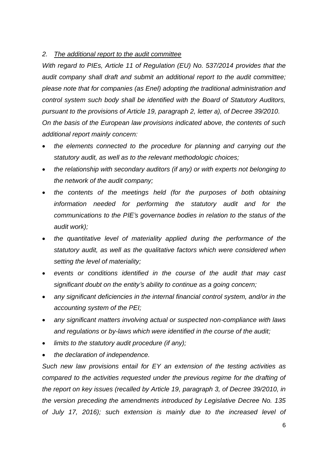## *2. The additional report to the audit committee*

*With regard to PIEs, Article 11 of Regulation (EU) No. 537/2014 provides that the audit company shall draft and submit an additional report to the audit committee; please note that for companies (as Enel) adopting the traditional administration and control system such body shall be identified with the Board of Statutory Auditors, pursuant to the provisions of Article 19, paragraph 2, letter a), of Decree 39/2010. On the basis of the European law provisions indicated above, the contents of such additional report mainly concern:* 

- *the elements connected to the procedure for planning and carrying out the statutory audit, as well as to the relevant methodologic choices;*
- *the relationship with secondary auditors (if any) or with experts not belonging to the network of the audit company;*
- *the contents of the meetings held (for the purposes of both obtaining information needed for performing the statutory audit and for the communications to the PIE's governance bodies in relation to the status of the audit work);*
- *the quantitative level of materiality applied during the performance of the statutory audit, as well as the qualitative factors which were considered when setting the level of materiality;*
- *events or conditions identified in the course of the audit that may cast significant doubt on the entity's ability to continue as a going concern;*
- *any significant deficiencies in the internal financial control system, and/or in the accounting system of the PEI;*
- *any significant matters involving actual or suspected non-compliance with laws and regulations or by-laws which were identified in the course of the audit;*
- *limits to the statutory audit procedure (if any);*
- *the declaration of independence.*

*Such new law provisions entail for EY an extension of the testing activities as compared to the activities requested under the previous regime for the drafting of the report on key issues (recalled by Article 19, paragraph 3, of Decree 39/2010, in the version preceding the amendments introduced by Legislative Decree No. 135 of July 17, 2016); such extension is mainly due to the increased level of*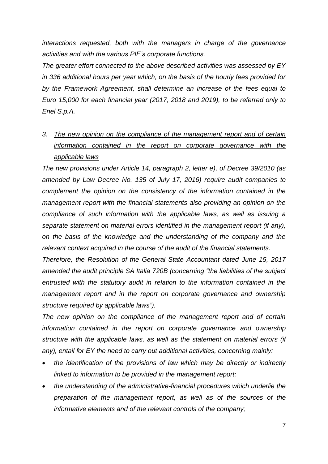*interactions requested, both with the managers in charge of the governance activities and with the various PIE's corporate functions.* 

*The greater effort connected to the above described activities was assessed by EY in 336 additional hours per year which, on the basis of the hourly fees provided for by the Framework Agreement, shall determine an increase of the fees equal to Euro 15,000 for each financial year (2017, 2018 and 2019), to be referred only to Enel S.p.A.*

*3. The new opinion on the compliance of the management report and of certain information contained in the report on corporate governance with the applicable laws*

*The new provisions under Article 14, paragraph 2, letter e), of Decree 39/2010 (as amended by Law Decree No. 135 of July 17, 2016) require audit companies to complement the opinion on the consistency of the information contained in the management report with the financial statements also providing an opinion on the compliance of such information with the applicable laws, as well as issuing a separate statement on material errors identified in the management report (if any), on the basis of the knowledge and the understanding of the company and the relevant context acquired in the course of the audit of the financial statements.*

*Therefore, the Resolution of the General State Accountant dated June 15, 2017 amended the audit principle SA Italia 720B (concerning "the liabilities of the subject entrusted with the statutory audit in relation to the information contained in the management report and in the report on corporate governance and ownership structure required by applicable laws").* 

*The new opinion on the compliance of the management report and of certain information contained in the report on corporate governance and ownership structure with the applicable laws, as well as the statement on material errors (if any), entail for EY the need to carry out additional activities, concerning mainly:* 

- *the identification of the provisions of law which may be directly or indirectly linked to information to be provided in the management report;*
- *the understanding of the administrative-financial procedures which underlie the preparation of the management report, as well as of the sources of the informative elements and of the relevant controls of the company;*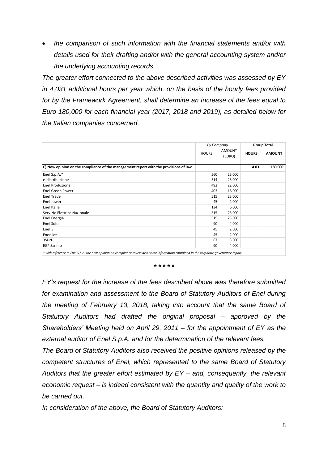*the comparison of such information with the financial statements and/or with details used for their drafting and/or with the general accounting system and/or the underlying accounting records.*

*The greater effort connected to the above described activities was assessed by EY in 4,031 additional hours per year which, on the basis of the hourly fees provided for by the Framework Agreement, shall determine an increase of the fees equal to Euro 180,000 for each financial year (2017, 2018 and 2019), as detailed below for the Italian companies concerned.*

|                                                                                      | By Company   |                         | <b>Group Total</b> |               |
|--------------------------------------------------------------------------------------|--------------|-------------------------|--------------------|---------------|
|                                                                                      | <b>HOURS</b> | <b>AMOUNT</b><br>(EURO) | <b>HOURS</b>       | <b>AMOUNT</b> |
| C) New opinion on the compliance of the management report with the provisions of law |              |                         | 4.031              | 180.000       |
| Enel S.p.A.*                                                                         | 560          | 25.000                  |                    |               |
| e-distribuzione                                                                      | 514          | 23.000                  |                    |               |
| <b>Enel Produzione</b>                                                               | 493          | 22.000                  |                    |               |
| <b>Enel Green Power</b>                                                              | 403          | 18.000                  |                    |               |
| <b>Enel Trade</b>                                                                    | 515          | 23.000                  |                    |               |
| Enelpower                                                                            | 45           | 2.000                   |                    |               |
| Enel Italia                                                                          | 134          | 6.000                   |                    |               |
| Servizio Elettrico Nazionale                                                         | 515          | 23.000                  |                    |               |
| Enel Energia                                                                         | 515          | 23.000                  |                    |               |
| Enel Sole                                                                            | 90           | 4.000                   |                    |               |
| Enel.SI                                                                              | 45           | 2.000                   |                    |               |
| Enerlive                                                                             | 45           | 2.000                   |                    |               |
| 3SUN                                                                                 | 67           | 3.000                   |                    |               |
| <b>EGP Sannio</b>                                                                    | 90           | 4.000                   |                    |               |

*\* with reference to Enel S.p.A. the new opinion on compliance covers also some information contained in the corporate governance report*

*\* \* \* \* \**

*EY's request for the increase of the fees described above was therefore submitted for examination and assessment to the Board of Statutory Auditors of Enel during the meeting of February 13, 2018, taking into account that the same Board of Statutory Auditors had drafted the original proposal – approved by the Shareholders' Meeting held on April 29, 2011 – for the appointment of EY as the external auditor of Enel S.p.A. and for the determination of the relevant fees.*

*The Board of Statutory Auditors also received the positive opinions released by the competent structures of Enel, which represented to the same Board of Statutory Auditors that the greater effort estimated by EY – and, consequently, the relevant economic request – is indeed consistent with the quantity and quality of the work to be carried out.*

*In consideration of the above, the Board of Statutory Auditors:*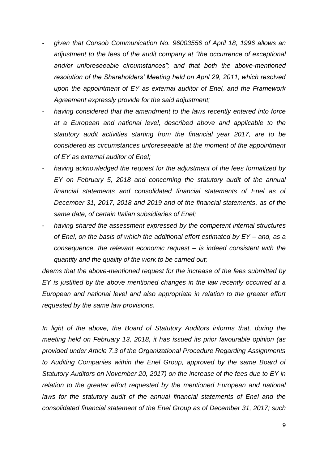- *given that Consob Communication No. 96003556 of April 18, 1996 allows an adjustment to the fees of the audit company at "the occurrence of exceptional and/or unforeseeable circumstances"; and that both the above-mentioned resolution of the Shareholders' Meeting held on April 29, 2011, which resolved upon the appointment of EY as external auditor of Enel, and the Framework Agreement expressly provide for the said adjustment;*
- *having considered that the amendment to the laws recently entered into force at a European and national level, described above and applicable to the statutory audit activities starting from the financial year 2017, are to be considered as circumstances unforeseeable at the moment of the appointment of EY as external auditor of Enel;*
- having acknowledged the request for the adjustment of the fees formalized by *EY on February 5, 2018 and concerning the statutory audit of the annual financial statements and consolidated financial statements of Enel as of December 31, 2017, 2018 and 2019 and of the financial statements, as of the same date, of certain Italian subsidiaries of Enel;*
- having shared the assessment expressed by the competent internal structures *of Enel, on the basis of which the additional effort estimated by EY – and, as a consequence, the relevant economic request – is indeed consistent with the quantity and the quality of the work to be carried out;*

*deems that the above-mentioned request for the increase of the fees submitted by EY is justified by the above mentioned changes in the law recently occurred at a European and national level and also appropriate in relation to the greater effort requested by the same law provisions.* 

*In light of the above, the Board of Statutory Auditors informs that, during the meeting held on February 13, 2018, it has issued its prior favourable opinion (as provided under Article 7.3 of the Organizational Procedure Regarding Assignments to Auditing Companies within the Enel Group, approved by the same Board of Statutory Auditors on November 20, 2017) on the increase of the fees due to EY in relation to the greater effort requested by the mentioned European and national laws for the statutory audit of the annual financial statements of Enel and the consolidated financial statement of the Enel Group as of December 31, 2017; such*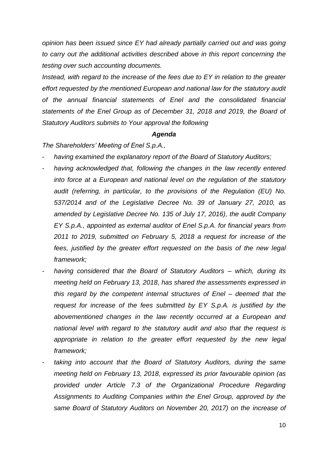*opinion has been issued since EY had already partially carried out and was going to carry out the additional activities described above in this report concerning the testing over such accounting documents.* 

*Instead, with regard to the increase of the fees due to EY in relation to the greater effort requested by the mentioned European and national law for the statutory audit of the annual financial statements of Enel and the consolidated financial statements of the Enel Group as of December 31, 2018 and 2019, the Board of Statutory Auditors submits to Your approval the following* 

#### *Agenda*

*The Shareholders' Meeting of Enel S.p.A.,* 

- having examined the explanatory report of the Board of Statutory Auditors;
- *having acknowledged that, following the changes in the law recently entered into force at a European and national level on the regulation of the statutory audit (referring, in particular, to the provisions of the Regulation (EU) No. 537/2014 and of the Legislative Decree No. 39 of January 27, 2010, as amended by Legislative Decree No. 135 of July 17, 2016), the audit Company EY S.p.A., appointed as external auditor of Enel S.p.A. for financial years from 2011 to 2019, submitted on February 5, 2018 a request for increase of the fees, justified by the greater effort requested on the basis of the new legal framework;*
- *having considered that the Board of Statutory Auditors – which, during its meeting held on February 13, 2018, has shared the assessments expressed in this regard by the competent internal structures of Enel – deemed that the request for increase of the fees submitted by EY S.p.A. is justified by the abovementioned changes in the law recently occurred at a European and national level with regard to the statutory audit and also that the request is appropriate in relation to the greater effort requested by the new legal framework;*
- *taking into account that the Board of Statutory Auditors, during the same meeting held on February 13, 2018, expressed its prior favourable opinion (as provided under Article 7.3 of the Organizational Procedure Regarding Assignments to Auditing Companies within the Enel Group, approved by the same Board of Statutory Auditors on November 20, 2017) on the increase of*